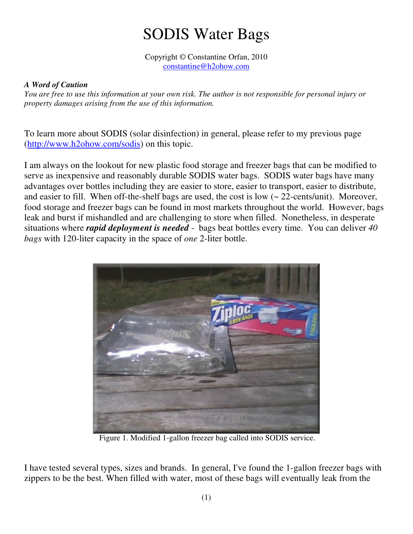## SODIS Water Bags

Copyright © Constantine Orfan, 2010 constantine@h2ohow.com

## *A Word of Caution*

*You are free to use this information at your own risk. The author is not responsible for personal injury or property damages arising from the use of this information.* 

To learn more about SODIS (solar disinfection) in general, please refer to my previous page (http://www.h2ohow.com/sodis) on this topic.

I am always on the lookout for new plastic food storage and freezer bags that can be modified to serve as inexpensive and reasonably durable SODIS water bags. SODIS water bags have many advantages over bottles including they are easier to store, easier to transport, easier to distribute, and easier to fill. When off-the-shelf bags are used, the cost is low (~ 22-cents/unit). Moreover, food storage and freezer bags can be found in most markets throughout the world. However, bags leak and burst if mishandled and are challenging to store when filled. Nonetheless, in desperate situations where *rapid deployment is needed* - bags beat bottles every time. You can deliver *40 bags* with 120-liter capacity in the space of *one* 2-liter bottle.



Figure 1. Modified 1-gallon freezer bag called into SODIS service.

I have tested several types, sizes and brands. In general, I've found the 1-gallon freezer bags with zippers to be the best. When filled with water, most of these bags will eventually leak from the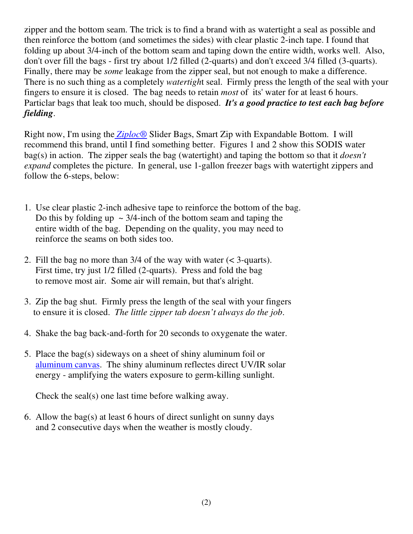zipper and the bottom seam. The trick is to find a brand with as watertight a seal as possible and then reinforce the bottom (and sometimes the sides) with clear plastic 2-inch tape. I found that folding up about 3/4-inch of the bottom seam and taping down the entire width, works well. Also, don't over fill the bags - first try about 1/2 filled (2-quarts) and don't exceed 3/4 filled (3-quarts). Finally, there may be *some* leakage from the zipper seal, but not enough to make a difference. There is no such thing as a completely *watertigh*t seal. Firmly press the length of the seal with your fingers to ensure it is closed. The bag needs to retain *most* of its' water for at least 6 hours. Particlar bags that leak too much, should be disposed. *It's a good practice to test each bag before fielding*.

Right now, I'm using the *Ziploc*® Slider Bags, Smart Zip with Expandable Bottom. I will recommend this brand, until I find something better. Figures 1 and 2 show this SODIS water bag(s) in action. The zipper seals the bag (watertight) and taping the bottom so that it *doesn't expand* completes the picture. In general, use 1-gallon freezer bags with watertight zippers and follow the 6-steps, below:

- 1. Use clear plastic 2-inch adhesive tape to reinforce the bottom of the bag. Do this by folding up  $\sim$  3/4-inch of the bottom seam and taping the entire width of the bag. Depending on the quality, you may need to reinforce the seams on both sides too.
- 2. Fill the bag no more than 3/4 of the way with water (< 3-quarts). First time, try just 1/2 filled (2-quarts). Press and fold the bag to remove most air. Some air will remain, but that's alright.
- 3. Zip the bag shut. Firmly press the length of the seal with your fingers to ensure it is closed. *The little zipper tab doesn't always do the job*.
- 4. Shake the bag back-and-forth for 20 seconds to oxygenate the water.
- 5. Place the bag(s) sideways on a sheet of shiny aluminum foil or aluminum canvas. The shiny aluminum reflectes direct UV/IR solar energy - amplifying the waters exposure to germ-killing sunlight.

Check the seal(s) one last time before walking away.

6. Allow the bag(s) at least 6 hours of direct sunlight on sunny days and 2 consecutive days when the weather is mostly cloudy.